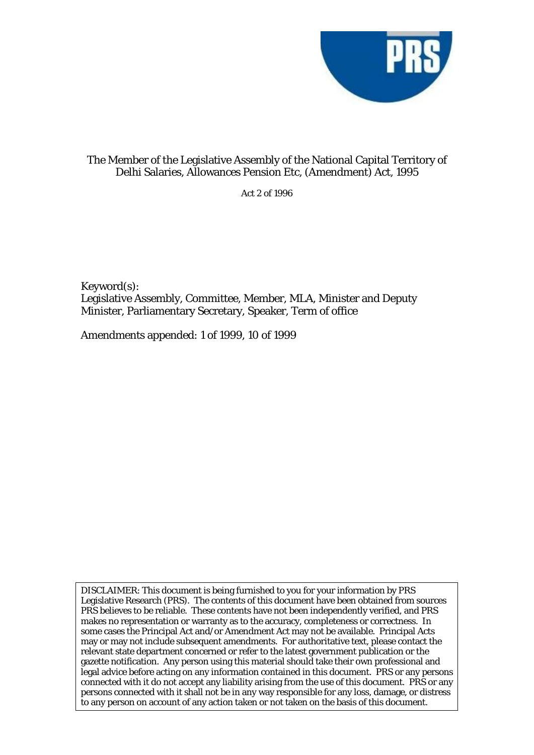

## The Member of the Legislative Assembly of the National Capital Territory of Delhi Salaries, Allowances Pension Etc, (Amendment) Act, 1995

Act 2 of 1996

Keyword(s): Legislative Assembly, Committee, Member, MLA, Minister and Deputy Minister, Parliamentary Secretary, Speaker, Term of office

Amendments appended: 1 of 1999, 10 of 1999

DISCLAIMER: This document is being furnished to you for your information by PRS Legislative Research (PRS). The contents of this document have been obtained from sources PRS believes to be reliable. These contents have not been independently verified, and PRS makes no representation or warranty as to the accuracy, completeness or correctness. In some cases the Principal Act and/or Amendment Act may not be available. Principal Acts may or may not include subsequent amendments. For authoritative text, please contact the relevant state department concerned or refer to the latest government publication or the gazette notification. Any person using this material should take their own professional and legal advice before acting on any information contained in this document. PRS or any persons connected with it do not accept any liability arising from the use of this document. PRS or any persons connected with it shall not be in any way responsible for any loss, damage, or distress to any person on account of any action taken or not taken on the basis of this document.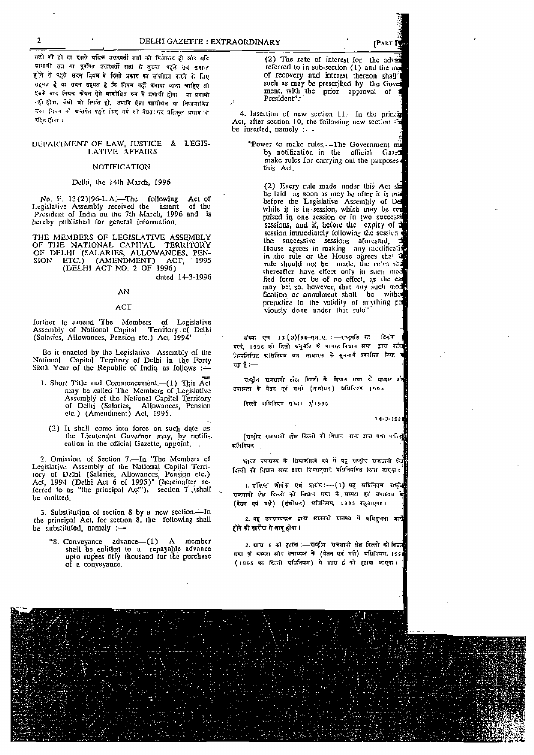DELHI GAZETTE : EXTRAORDINARY

ससों को हो या इससे चर्चिक उत्तरवर्ती सत्रों को मिलाकर हो और यदि होने से पहले सदन नियम में किसी प्रकार का संसोधन करने के लिए .<br>सहमत है ये सदन सहमत है कि नियम नहीं बनाया जाना चाहिए तो इसके बाद नियम कोवन ऐसे पायोग्नित रूप में प्रभावी होगा या प्रभावा नहों होता, चैसी चो स्पिति हो, तपापि ऐता स्नामोधन या निष्यभावित उसना नियम को प्रस्तानेत पहले किए गये को बेघता पर प्रतिकल प्रभाव के रहित होगा ।

#### DEPARTMENT OF LAW, JUSTICE & LEGIS-LATIVE AFFAIRS

#### **NOTIFICATION**

#### Delhi, the 14th March, 1996

No. F. 13(2)|96-L.A.-The following Act of Legislative Assembly received the assent of the<br>President of India ou the 7th March, 1996 and is of the hereby published for general information.

THE MEMBERS OF LEGISLATIVE ASSEMBLY THE MEMBERS OF LEOISLATIVE ASSEMBLY<br>OF THE NATIONAL CAPITAL TERRITORY<br>OF DELHI (SALARIES, ALLOWANCES, PENSION ETC.) (AMENDMENT) ACT, 1995 (DELHI ACT NO. 2 OF 1996)

dated 14-3-1996

#### AN

#### ACT

further to amend 'The Members of Legislative<br>Assembly of National Capital Territory of Delhi (Salaries, Allowances, Pension etc.) Act 1994<sup>1</sup>

Be it enacted by the Legislative Assembly of the National Capital Territory of Delhi in the Forty Sixth Year of the Republic of India as follows :-

- 1. Short Title and Commencement.-(1) This Act may be called The Members of Legislative Assembly of the National Capital Territory<br>of Delhi (Salaries, Allowances, Pension etc.) (Amendment) Act. 1995.
	- (2) It shall come into force on such date as the Lieutenant Governor may, by notification in the official Gazette, appoint,

2. Omission of Section 7.- In 'The Members of E. Ontasion of Section 1. In the Reinbels of<br>Legislative Assembly of the National Capital Terri-<br>tory of Delhi (Salaries, Allowances, Pension etc.)<br>Act, 1994 (Delhi Act 6 of 1995)' (hereinalter referred to as "the principal Act"), section 7 (shall be omitted.

3. Substitution of section 8 by a new section.-In the principal Act, for section 8, the following shall be substituted, namely :-

Conveyance advance-(1) A member<br>shall be entitled to a repayable advance<br>upto rupees fiffy thousand for the purchase "8. Conveyance of a conveyance.

(2) The rate of interest for the adverreferred to in sub-section (1) and the ma of recovery and interest thereon shall such as may be prescribed by the Gove ment, with the prior approval of President".

4. Insertion of new section  $11$ . In the principality Act, after section 10, the following new section  $\overline{25}$ be inserted, namely :-

"Power to make rules,--The Government minutes,"<br>by notification in the official Gazet make rules for earrying out the purposes. this Acl.

(2) Every rule made under this Act she (2) Every rule made inder this Act and be laid as soon as may be after it is made before the Legislative Assembly of Del while it is in session, which may be comprised in one session or in two successimes sessions, and if session immediately following the session the successive sessions atorcsaid, House agrees in making any modificati in the rule or the House agrees that a rule should not be made, the rules sha thereafter have effect only in such med fied form or be of no effect, as the can fication or annulment shall be withed prejudice to the validity of anything p: viously done under that rule"

संख्या एक 13 (3) / अध्यात्मा.ए. :- मान्द्रपति का दिनोक .<br>मार्च 1996 को दिनो अनुपति थे पायरत विघान समा द्वारा गर्न निन्दर्सिखित प्राधिनियम अत्र साधारण के सूचनार्य प्रकाशित किया रत है :—

राष्ट्रीय समधानी क्षेत्र दिन्ती के विधान सभा से सध्यक्ष प्र उपाध्यक्ष के पेतन एवं गर्सा (संसोधन) धधिनित्य 1995

दिल्ली प्रक्रियन संख्या ३/1995

 $14 - 3 - 19 =$ 

[एष्ट्रीय राजप्रानी क्षेत्र दिल्ली को विधान राजा द्वारा पक्षा पारिज्ञ) प्रशिविषय

भारत बणराज्य के छियासीएवें वर्ष में वह राष्ट्रीय राजधानी केंद्र दिल्ली को विघान सभा द्वारा विम्यानुसार प्रसिनियमित किया जाएगा।

) वंशिष्ठ शोपंक एवं प्रारंभ: - (1) यह प्रधिनियम राष्ट्री है राजधानी क्षेत्र दिल्ली को विद्यान एमा के घण्यक्ष एवं उपाध्यक्ष (बेउन एवं भन्ने) (क्षेत्रोधन) प्रमिनियम, 1995 सहसाएगा।

2. वह उत्तराज्यसम द्वारा सरकारी राजपत में मधिसूत्रता करते होने को सरोख से लागू होगा ।

2. पाय 6 को हटाना :- राष्ट्रीय समयानी क्षेत्र दिल्ली की विद्यत्त समा के मध्यक्ष स्रोर उपाध्यक्ष के (बेतन एवं मते) घधिनियम, 1991 (1995 का दिन्ती प्राप्रितवम) में धारा 6 को हटाया जाएगा।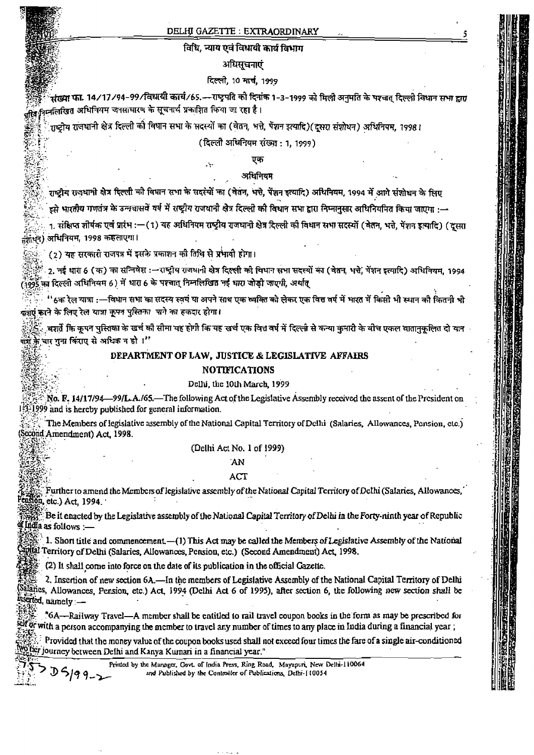#### DELHI GAZETTE: EXTRAORDINARY

### विधि, न्याय एवं विधायी कार्य विभाग

#### अधिसूचनाएं

## दिल्ली, 10 मार्च, 1999

क्रव्या फा. 14./17./94–99./विधायी कार्य./65.---राष्ट्रपति को दिनांक 1–3–1999 को मिली अनुमति के पश्चत दिल्ली विधान सभा द्वारा ः<br><sub>विव</sub>्युनन्नलिखित अधिनियम जनसाधारण के सूचनार्थ प्रकाशित किया जा रहा है।

11स्टीय राजधानी क्षेत्र दिल्ली को विधान सभा के सदस्यों का (वेतन, भत्ते, पेंशन इत्यादि)(दूसरा संशोधन) अधिनियम, 1998।

J.

(दिल्ली अधिनियम संख्या: 1, 1999)

# एक

## अधिनियम

.<br>राष्ट्रीय राजधानी क्षेत्र दिल्ली को विधान सभा के सदस्यों का (वेतन, भन्ते, पेंशन इत्यादि) अधिनियम, 1994 में आगे संशोधन के लिए

... इसे भारतीय गणतंत्र के उन्नचासवें वर्ष में राष्ट्रीय राजधानी क्षेत्र दिल्ली की विधान सभा द्वारा निम्नानुसार अधिनियमित किया जाएगा :--

1. संक्षिप्त शीर्षक एवं प्रारंभ :—(1) यह अधिनियम राष्ट्रीय राजधानी क्षेत्र दिल्ली की विधान सभा सदस्यों (बेतन, भत्ते, पेंशन इत्यादि) (दूसरा तंशाधन) अधिनियम, 1998 कहलाएगा।

(2) यह सरकारी राजपत्र में इसके प्रकाशन की तिथि से प्रभावी होगा।

2. नई धारा 6 (क) का सन्निषेश :- राष्ट्रीय राजधानी क्षेत्र दिल्ली को विधान सभा सदस्यों का (वेतन, भत्ते, मेंशन इत्यादि) अधिनियम, 1994 (1995 का दिल्ली अधिनियम 6) में धारा 6 के पश्चात् निम्नलिखित नई धारा जोड़ी जाएगी, अर्थात्

''ઠक रेल यात्रा :—विधान सभा का सदस्य स्वयं या अपने साथ एक व्यक्ति को लेकर एक वित्त वर्ष में भारत में किसी भी स्थान को कितनी भी क्रज़एं करने के लिए रेल यात्रा कृपत पुस्तिका। पाने का हकदार होगा।

्वशर्ते कि कपन पुस्तिका के खर्च की सीमा यह होगी कि यह खर्च एक वित्त वर्ष में दिल्ली से कन्या कुमारी के बीच एकल वातानकलित दो यान ...<br>बार्श के चार गुना किराए से अधिक न हो ।''

#### DEPARTMENT OF LAW, JUSTICE & LEGISLATIVE AFFAIRS

#### **NOTIFICATIONS**

#### Delhi, the 10th March, 1999

No. F. 14/17/94—99/L.A./65.—The following Act of the Legislative Assembly received the assent of the President on 3.1999 and is hereby published for general information.

The Members of legislative assembly of the National Capital Territory of Delhi (Salaries, Allowances, Pension, etc.) (Second Amendment) Act, 1998.

#### (Delhi Act No. 1 of 1999)

## **AN**

#### ACT

Further to amend the Members of legislative assembly of the National Capital Territory of Delhi (Salaries, Allowances,  $\cos 6\theta$ , etc.) Act. 1994.

Be it enacted by the Legislative assembly of the National Capital Territory of Delhi in the Forty-ninth year of Republic If India as follows :-

1. Short title and commencement.—(1) This Act may be called the Members of Legislative Assembly of the National what Territory of Delhi (Salaries, Allowances, Pension, etc.) (Second Amendment) Act, 1998.

(2) It shall come into force on the date of its publication in the official Gazette.

 $5199-$ 

2. Insertion of new section 6A. - In the members of Legislative Assembly of the National Capital Territory of Delhi Salaries, Allowances, Pension, etc.) Act, 1994 (Delhi Act 6 of 1995), after section 6, the following new section shall be inscried, namely :-

"6A—Railway Travel—A member shall be entitled to rail travel coupon books in the form as may be prescribed for self or with a person accompanying the member to travel any number of times to any place in India during a financial year;

Provided that the money value of the coupon books used shall not exceed four times the fare of a single air-conditioned ©ber journey between Delhi and Kanya Kumari in a financial year."

Printed by the Manager, Govt. of India Press, Ring Road, Mayapuri, New Delhi-110064 and Published by the Controller of Publications, Defni-110054